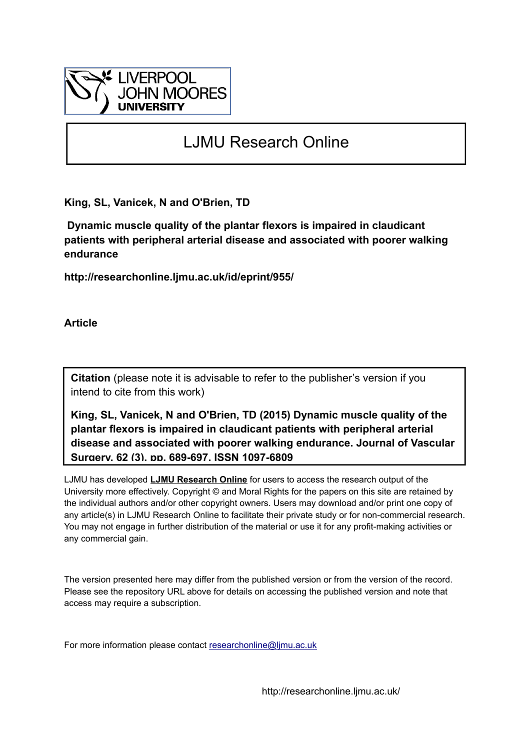

# LJMU Research Online

**King, SL, Vanicek, N and O'Brien, TD**

 **Dynamic muscle quality of the plantar flexors is impaired in claudicant patients with peripheral arterial disease and associated with poorer walking endurance**

**http://researchonline.ljmu.ac.uk/id/eprint/955/**

**Article**

**Citation** (please note it is advisable to refer to the publisher's version if you intend to cite from this work)

**King, SL, Vanicek, N and O'Brien, TD (2015) Dynamic muscle quality of the plantar flexors is impaired in claudicant patients with peripheral arterial disease and associated with poorer walking endurance. Journal of Vascular Surgery, 62 (3). pp. 689-697. ISSN 1097-6809** 

LJMU has developed **[LJMU Research Online](http://researchonline.ljmu.ac.uk/)** for users to access the research output of the University more effectively. Copyright © and Moral Rights for the papers on this site are retained by the individual authors and/or other copyright owners. Users may download and/or print one copy of any article(s) in LJMU Research Online to facilitate their private study or for non-commercial research. You may not engage in further distribution of the material or use it for any profit-making activities or any commercial gain.

The version presented here may differ from the published version or from the version of the record. Please see the repository URL above for details on accessing the published version and note that access may require a subscription.

For more information please contact researchonline@limu.ac.uk

http://researchonline.ljmu.ac.uk/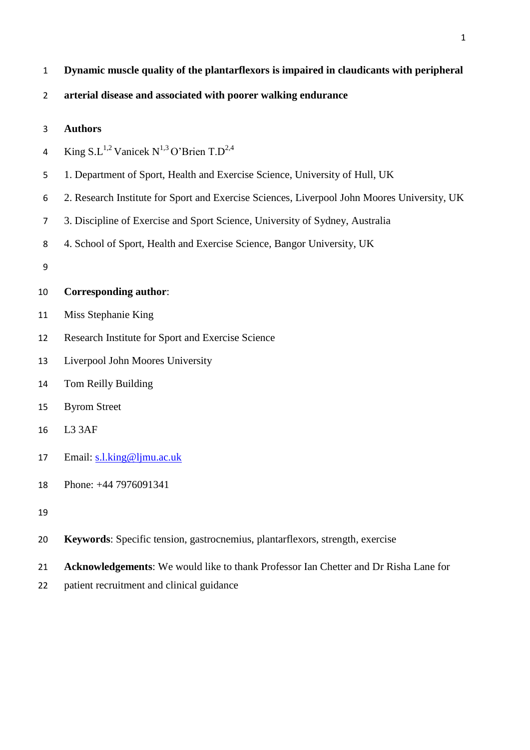| Dynamic muscle quality of the plantarflexors is impaired in claudicants with peripheral |  |  |  |
|-----------------------------------------------------------------------------------------|--|--|--|
|                                                                                         |  |  |  |

## **arterial disease and associated with poorer walking endurance**

### **Authors**

- 4 King  $SL^{1,2}$  Vanicek N<sup>1,3</sup> O'Brien T.D<sup>2,4</sup>
- 1. Department of Sport, Health and Exercise Science, University of Hull, UK
- 2. Research Institute for Sport and Exercise Sciences, Liverpool John Moores University, UK
- 3. Discipline of Exercise and Sport Science, University of Sydney, Australia
- 4. School of Sport, Health and Exercise Science, Bangor University, UK
- 

## **Corresponding author**:

- Miss Stephanie King
- Research Institute for Sport and Exercise Science
- Liverpool John Moores University
- Tom Reilly Building
- Byrom Street
- L3 3AF
- Email: [s.l.king@ljmu.ac.uk](mailto:s.l.king@ljmu.ac.uk)
- Phone: +44 7976091341
- 
- **Keywords**: Specific tension, gastrocnemius, plantarflexors, strength, exercise
- **Acknowledgements**: We would like to thank Professor Ian Chetter and Dr Risha Lane for
- patient recruitment and clinical guidance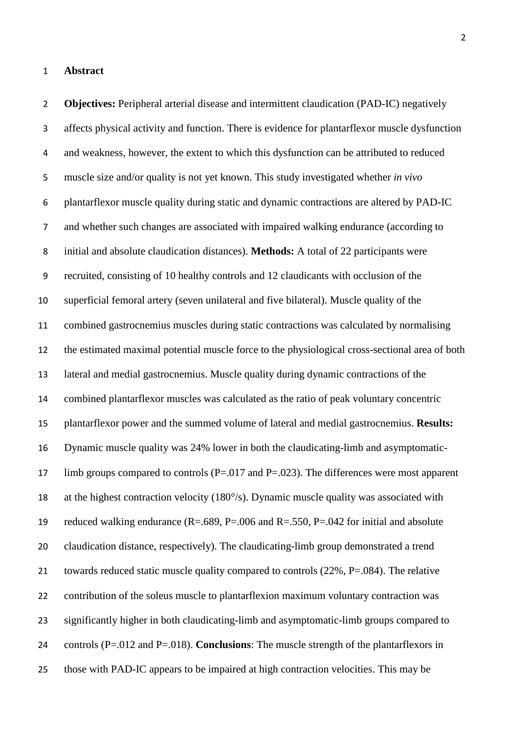#### **Abstract**

 **Objectives:** Peripheral arterial disease and intermittent claudication (PAD-IC) negatively affects physical activity and function. There is evidence for plantarflexor muscle dysfunction and weakness, however, the extent to which this dysfunction can be attributed to reduced muscle size and/or quality is not yet known. This study investigated whether *in vivo* plantarflexor muscle quality during static and dynamic contractions are altered by PAD-IC and whether such changes are associated with impaired walking endurance (according to initial and absolute claudication distances). **Methods:** A total of 22 participants were recruited, consisting of 10 healthy controls and 12 claudicants with occlusion of the superficial femoral artery (seven unilateral and five bilateral). Muscle quality of the combined gastrocnemius muscles during static contractions was calculated by normalising the estimated maximal potential muscle force to the physiological cross-sectional area of both lateral and medial gastrocnemius. Muscle quality during dynamic contractions of the combined plantarflexor muscles was calculated as the ratio of peak voluntary concentric plantarflexor power and the summed volume of lateral and medial gastrocnemius. **Results:**  Dynamic muscle quality was 24% lower in both the claudicating-limb and asymptomatic-17 limb groups compared to controls  $(P=.017$  and  $P=.023$ ). The differences were most apparent at the highest contraction velocity (180°/s). Dynamic muscle quality was associated with reduced walking endurance (R=.689, P=.006 and R=.550, P=.042 for initial and absolute claudication distance, respectively). The claudicating-limb group demonstrated a trend towards reduced static muscle quality compared to controls (22%, P=.084). The relative contribution of the soleus muscle to plantarflexion maximum voluntary contraction was significantly higher in both claudicating-limb and asymptomatic-limb groups compared to controls (P=.012 and P=.018). **Conclusions**: The muscle strength of the plantarflexors in those with PAD-IC appears to be impaired at high contraction velocities. This may be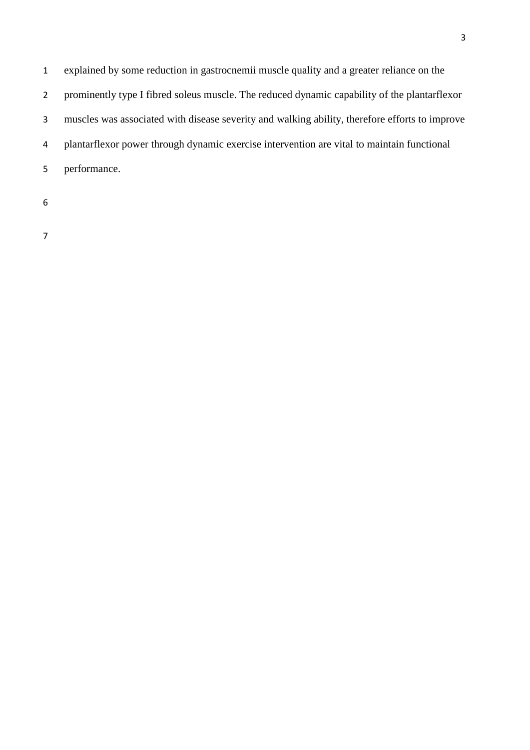explained by some reduction in gastrocnemii muscle quality and a greater reliance on the prominently type I fibred soleus muscle. The reduced dynamic capability of the plantarflexor muscles was associated with disease severity and walking ability, therefore efforts to improve plantarflexor power through dynamic exercise intervention are vital to maintain functional performance.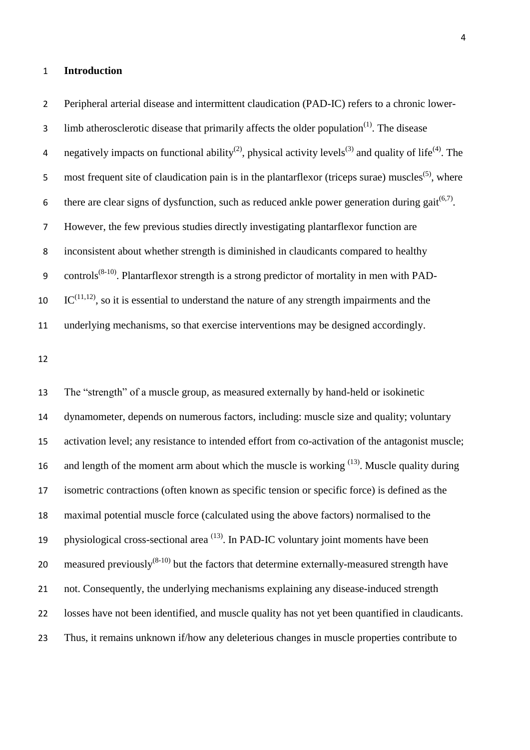#### **Introduction**

 Peripheral arterial disease and intermittent claudication (PAD-IC) refers to a chronic lower-3 limb atherosclerotic disease that primarily affects the older population $<sup>(1)</sup>$ . The disease</sup> 4 negatively impacts on functional ability<sup>(2)</sup>, physical activity levels<sup>(3)</sup> and quality of life<sup>(4)</sup>. The 5 most frequent site of claudication pain is in the plantarflexor (triceps surae) muscles<sup>(5)</sup>, where 6 there are clear signs of dysfunction, such as reduced ankle power generation during gait<sup> $(6,7)$ </sup>. However, the few previous studies directly investigating plantarflexor function are inconsistent about whether strength is diminished in claudicants compared to healthy 9 controls<sup>(8-10)</sup>. Plantarflexor strength is a strong predictor of mortality in men with PAD-  $\text{IC}^{(11,12)}$ , so it is essential to understand the nature of any strength impairments and the underlying mechanisms, so that exercise interventions may be designed accordingly.

 The "strength" of a muscle group, as measured externally by hand-held or isokinetic dynamometer, depends on numerous factors, including: muscle size and quality; voluntary activation level; any resistance to intended effort from co-activation of the antagonist muscle; 16 and length of the moment arm about which the muscle is working  $(13)$ . Muscle quality during isometric contractions (often known as specific tension or specific force) is defined as the maximal potential muscle force (calculated using the above factors) normalised to the 19 physiological cross-sectional area  $<sup>(13)</sup>$ . In PAD-IC voluntary joint moments have been</sup> 20 measured previously $^{(8-10)}$  but the factors that determine externally-measured strength have not. Consequently, the underlying mechanisms explaining any disease-induced strength losses have not been identified, and muscle quality has not yet been quantified in claudicants. Thus, it remains unknown if/how any deleterious changes in muscle properties contribute to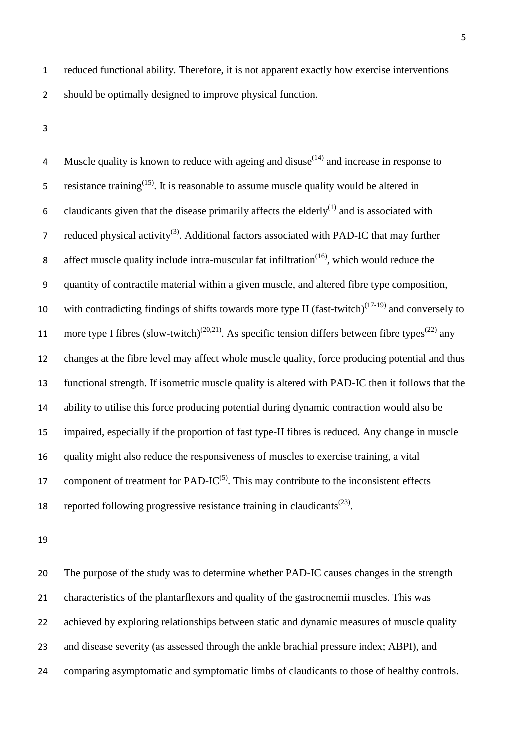reduced functional ability. Therefore, it is not apparent exactly how exercise interventions should be optimally designed to improve physical function.

4 Muscle quality is known to reduce with ageing and disuse $(14)$  and increase in response to 5 resistance training<sup> $(15)$ </sup>. It is reasonable to assume muscle quality would be altered in 6 claudicants given that the disease primarily affects the elderly $^{(1)}$  and is associated with reduced physical activity<sup>(3)</sup>. Additional factors associated with PAD-IC that may further 8 affect muscle quality include intra-muscular fat infiltration $(16)$ , which would reduce the quantity of contractile material within a given muscle, and altered fibre type composition, 10 with contradicting findings of shifts towards more type II (fast-twitch) $(17-19)$  and conversely to 11 more type I fibres (slow-twitch)<sup>(20,21)</sup>. As specific tension differs between fibre types<sup>(22)</sup> any changes at the fibre level may affect whole muscle quality, force producing potential and thus functional strength. If isometric muscle quality is altered with PAD-IC then it follows that the ability to utilise this force producing potential during dynamic contraction would also be impaired, especially if the proportion of fast type-II fibres is reduced. Any change in muscle quality might also reduce the responsiveness of muscles to exercise training, a vital 17 component of treatment for PAD-IC $(5)$ . This may contribute to the inconsistent effects 18 reported following progressive resistance training in claudicants<sup> $(23)$ </sup>.

 The purpose of the study was to determine whether PAD-IC causes changes in the strength characteristics of the plantarflexors and quality of the gastrocnemii muscles. This was 22 achieved by exploring relationships between static and dynamic measures of muscle quality and disease severity (as assessed through the ankle brachial pressure index; ABPI), and comparing asymptomatic and symptomatic limbs of claudicants to those of healthy controls.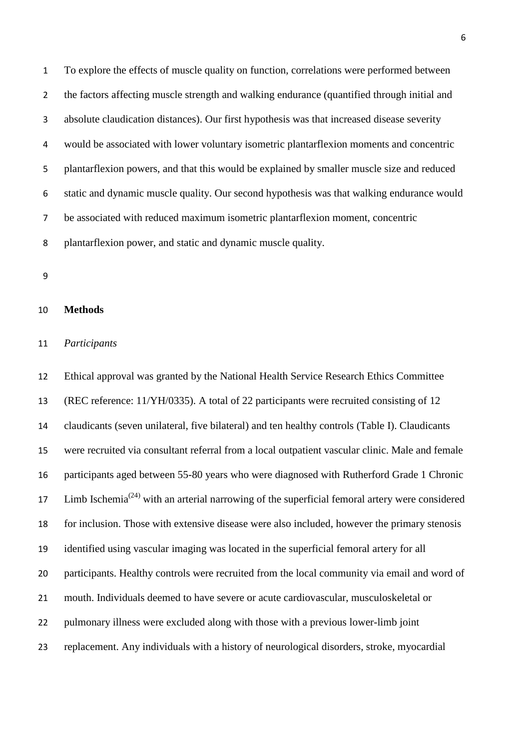To explore the effects of muscle quality on function, correlations were performed between the factors affecting muscle strength and walking endurance (quantified through initial and absolute claudication distances). Our first hypothesis was that increased disease severity would be associated with lower voluntary isometric plantarflexion moments and concentric plantarflexion powers, and that this would be explained by smaller muscle size and reduced static and dynamic muscle quality. Our second hypothesis was that walking endurance would be associated with reduced maximum isometric plantarflexion moment, concentric plantarflexion power, and static and dynamic muscle quality.

## **Methods**

#### *Participants*

 Ethical approval was granted by the National Health Service Research Ethics Committee (REC reference: 11/YH/0335). A total of 22 participants were recruited consisting of 12 claudicants (seven unilateral, five bilateral) and ten healthy controls (Table I). Claudicants were recruited via consultant referral from a local outpatient vascular clinic. Male and female participants aged between 55-80 years who were diagnosed with Rutherford Grade 1 Chronic 17 Limb Ischemia<sup>(24)</sup> with an arterial narrowing of the superficial femoral artery were considered for inclusion. Those with extensive disease were also included, however the primary stenosis identified using vascular imaging was located in the superficial femoral artery for all participants. Healthy controls were recruited from the local community via email and word of mouth. Individuals deemed to have severe or acute cardiovascular, musculoskeletal or pulmonary illness were excluded along with those with a previous lower-limb joint replacement. Any individuals with a history of neurological disorders, stroke, myocardial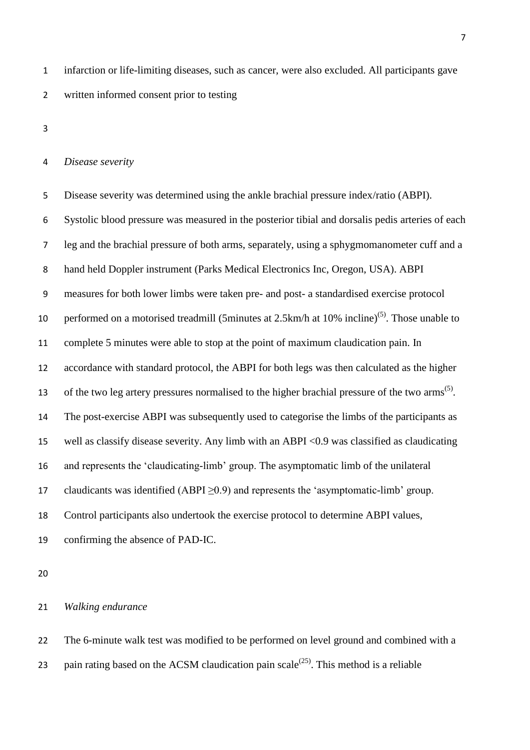infarction or life-limiting diseases, such as cancer, were also excluded. All participants gave written informed consent prior to testing

#### *Disease severity*

 Disease severity was determined using the ankle brachial pressure index/ratio (ABPI). Systolic blood pressure was measured in the posterior tibial and dorsalis pedis arteries of each leg and the brachial pressure of both arms, separately, using a sphygmomanometer cuff and a hand held Doppler instrument (Parks Medical Electronics Inc, Oregon, USA). ABPI measures for both lower limbs were taken pre- and post- a standardised exercise protocol 10 performed on a motorised treadmill (5minutes at 2.5km/h at 10% incline)<sup>(5)</sup>. Those unable to complete 5 minutes were able to stop at the point of maximum claudication pain. In accordance with standard protocol, the ABPI for both legs was then calculated as the higher 13 of the two leg artery pressures normalised to the higher brachial pressure of the two arms<sup>(5)</sup>. The post-exercise ABPI was subsequently used to categorise the limbs of the participants as well as classify disease severity. Any limb with an ABPI <0.9 was classified as claudicating and represents the 'claudicating-limb' group. The asymptomatic limb of the unilateral 17 claudicants was identified  $(ABPI \geq 0.9)$  and represents the 'asymptomatic-limb' group. Control participants also undertook the exercise protocol to determine ABPI values, confirming the absence of PAD-IC.

#### *Walking endurance*

 The 6-minute walk test was modified to be performed on level ground and combined with a 23 pain rating based on the ACSM claudication pain  $scale^{(25)}$ . This method is a reliable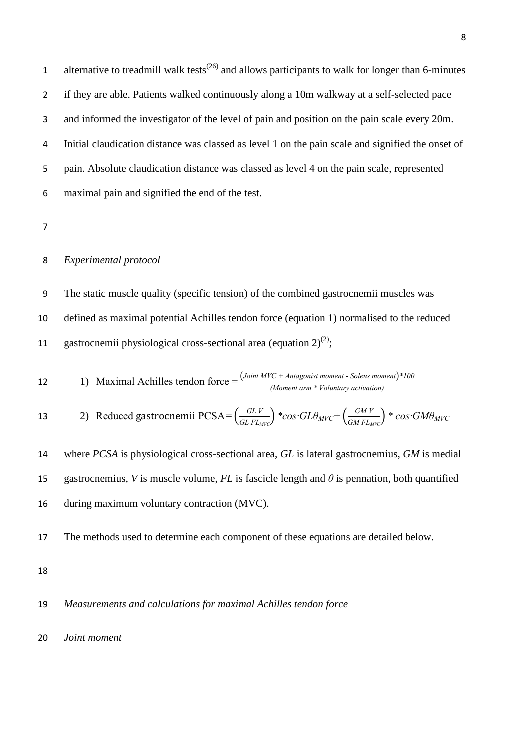1 alternative to treadmill walk tests<sup> $(26)$ </sup> and allows participants to walk for longer than 6-minutes if they are able. Patients walked continuously along a 10m walkway at a self-selected pace and informed the investigator of the level of pain and position on the pain scale every 20m. Initial claudication distance was classed as level 1 on the pain scale and signified the onset of pain. Absolute claudication distance was classed as level 4 on the pain scale, represented maximal pain and signified the end of the test.

## *Experimental protocol*

 The static muscle quality (specific tension) of the combined gastrocnemii muscles was defined as maximal potential Achilles tendon force (equation 1) normalised to the reduced 11 gastrocnemii physiological cross-sectional area (equation  $2^{(2)}$ ;

12 1) Maximal Achilles tendon force = 
$$
\frac{(Joint MVC + Antagonist moment - Soleus moment)^*100}{(Moment arm * Volumtary activation)}
$$

13 2) Reduced gastrocnemii PCsA=
$$
\left(\frac{GLV}{GLFL_{MVC}}\right)
$$
 \*cos· $GL\theta_{MVC}$ + $\left(\frac{GMV}{GMFL_{MVC}}\right)$  \* cos· $GM\theta_{MVC}$ 

 where *PCSA* is physiological cross-sectional area, *GL* is lateral gastrocnemius, *GM* is medial 15 gastrocnemius, *V* is muscle volume,  $FL$  is fascicle length and  $\theta$  is pennation, both quantified during maximum voluntary contraction (MVC).

The methods used to determine each component of these equations are detailed below.

## *Measurements and calculations for maximal Achilles tendon force*

*Joint moment*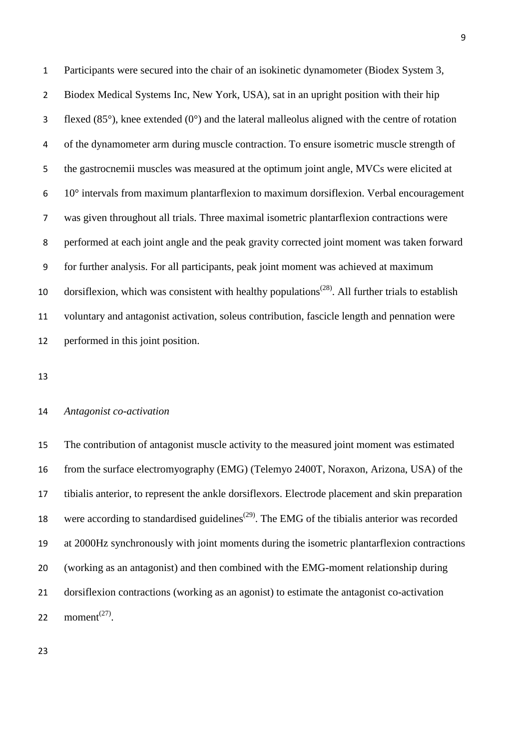Participants were secured into the chair of an isokinetic dynamometer (Biodex System 3, Biodex Medical Systems Inc, New York, USA), sat in an upright position with their hip 3 flexed  $(85^{\circ})$ , knee extended  $(0^{\circ})$  and the lateral malleolus aligned with the centre of rotation of the dynamometer arm during muscle contraction. To ensure isometric muscle strength of the gastrocnemii muscles was measured at the optimum joint angle, MVCs were elicited at 10° intervals from maximum plantarflexion to maximum dorsiflexion. Verbal encouragement was given throughout all trials. Three maximal isometric plantarflexion contractions were performed at each joint angle and the peak gravity corrected joint moment was taken forward for further analysis. For all participants, peak joint moment was achieved at maximum 10 dorsiflexion, which was consistent with healthy populations<sup> $(28)$ </sup>. All further trials to establish voluntary and antagonist activation, soleus contribution, fascicle length and pennation were performed in this joint position.

#### *Antagonist co-activation*

 The contribution of antagonist muscle activity to the measured joint moment was estimated from the surface electromyography (EMG) (Telemyo 2400T, Noraxon, Arizona, USA) of the tibialis anterior, to represent the ankle dorsiflexors. Electrode placement and skin preparation 18 were according to standardised guidelines<sup> $(29)$ </sup>. The EMG of the tibialis anterior was recorded at 2000Hz synchronously with joint moments during the isometric plantarflexion contractions (working as an antagonist) and then combined with the EMG-moment relationship during dorsiflexion contractions (working as an agonist) to estimate the antagonist co-activation 22 moment<sup>(27)</sup>.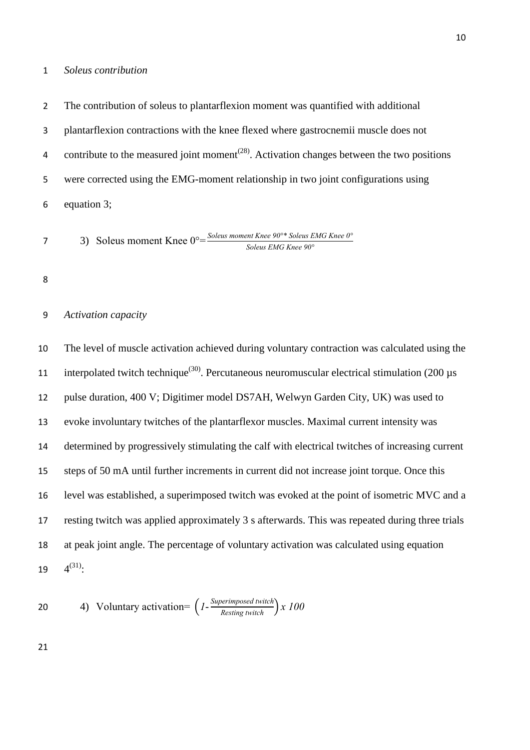#### *Soleus contribution*

The contribution of soleus to plantarflexion moment was quantified with additional

plantarflexion contractions with the knee flexed where gastrocnemii muscle does not

4 contribute to the measured joint moment<sup> $(28)$ </sup>. Activation changes between the two positions were corrected using the EMG-moment relationship in two joint configurations using

equation 3;

3) Soleus moment Knee 0°= *Soleus moment Knee 90°\* Soleus EMG Knee 0° Soleus EMG Knee 90°*

## *Activation capacity*

 The level of muscle activation achieved during voluntary contraction was calculated using the 11 interpolated twitch technique<sup>(30)</sup>. Percutaneous neuromuscular electrical stimulation (200  $\mu$ s pulse duration, 400 V; Digitimer model DS7AH, Welwyn Garden City, UK) was used to evoke involuntary twitches of the plantarflexor muscles. Maximal current intensity was determined by progressively stimulating the calf with electrical twitches of increasing current steps of 50 mA until further increments in current did not increase joint torque. Once this level was established, a superimposed twitch was evoked at the point of isometric MVC and a resting twitch was applied approximately 3 s afterwards. This was repeated during three trials at peak joint angle. The percentage of voluntary activation was calculated using equation  $4^{(31)}$ :

20 4) Voluntary activation=
$$
\left(I - \frac{Superimposed twitch}{Resting twitch}\right) x 100
$$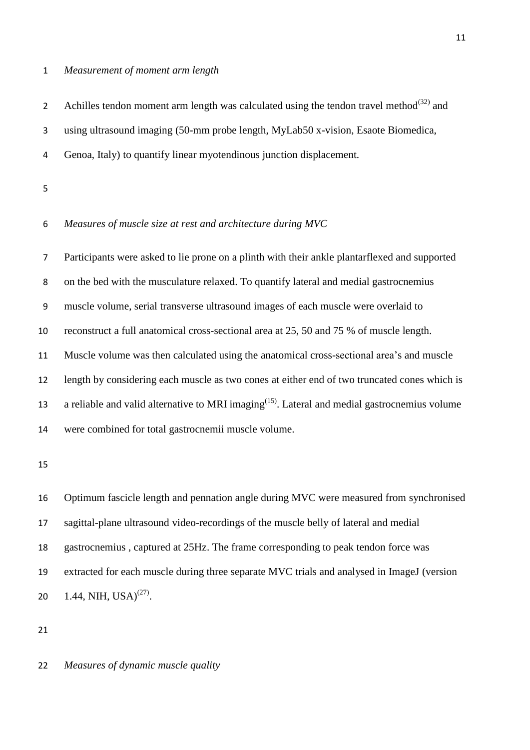#### *Measurement of moment arm length*

2 Achilles tendon moment arm length was calculated using the tendon travel method $^{(32)}$  and using ultrasound imaging (50-mm probe length, MyLab50 x-vision, Esaote Biomedica, Genoa, Italy) to quantify linear myotendinous junction displacement.

# *Measures of muscle size at rest and architecture during MVC*

 Participants were asked to lie prone on a plinth with their ankle plantarflexed and supported on the bed with the musculature relaxed. To quantify lateral and medial gastrocnemius muscle volume, serial transverse ultrasound images of each muscle were overlaid to reconstruct a full anatomical cross-sectional area at 25, 50 and 75 % of muscle length. Muscle volume was then calculated using the anatomical cross-sectional area's and muscle length by considering each muscle as two cones at either end of two truncated cones which is 13 a reliable and valid alternative to MRI imaging<sup> $(15)$ </sup>. Lateral and medial gastrocnemius volume were combined for total gastrocnemii muscle volume.

 Optimum fascicle length and pennation angle during MVC were measured from synchronised sagittal-plane ultrasound video-recordings of the muscle belly of lateral and medial gastrocnemius , captured at 25Hz. The frame corresponding to peak tendon force was extracted for each muscle during three separate MVC trials and analysed in ImageJ (version 20 1.44, NIH, USA)<sup>(27)</sup>.

*Measures of dynamic muscle quality*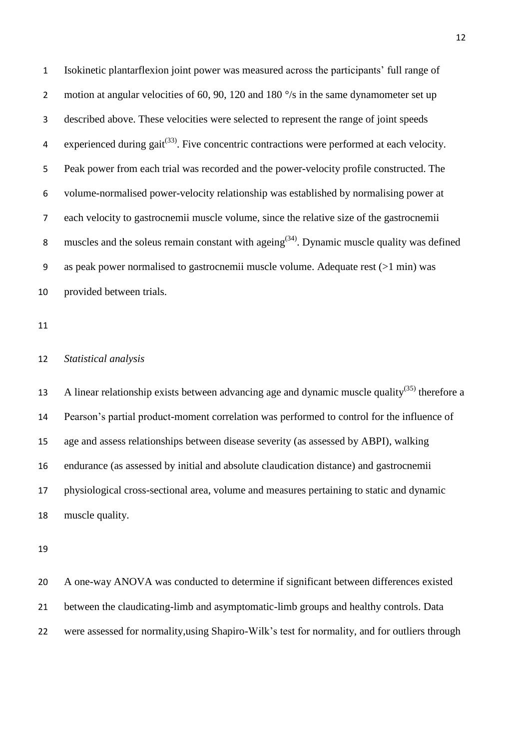Isokinetic plantarflexion joint power was measured across the participants' full range of 2 motion at angular velocities of 60, 90, 120 and 180 $\degree$ /s in the same dynamometer set up described above. These velocities were selected to represent the range of joint speeds 4 experienced during gait<sup>(33)</sup>. Five concentric contractions were performed at each velocity. Peak power from each trial was recorded and the power-velocity profile constructed. The volume-normalised power-velocity relationship was established by normalising power at each velocity to gastrocnemii muscle volume, since the relative size of the gastrocnemii 8 muscles and the soleus remain constant with ageing<sup> $(34)$ </sup>. Dynamic muscle quality was defined as peak power normalised to gastrocnemii muscle volume. Adequate rest (>1 min) was provided between trials.

## *Statistical analysis*

13 A linear relationship exists between advancing age and dynamic muscle quality<sup>(35)</sup> therefore a Pearson's partial product-moment correlation was performed to control for the influence of age and assess relationships between disease severity (as assessed by ABPI), walking endurance (as assessed by initial and absolute claudication distance) and gastrocnemii physiological cross-sectional area, volume and measures pertaining to static and dynamic muscle quality.

 A one-way ANOVA was conducted to determine if significant between differences existed between the claudicating-limb and asymptomatic-limb groups and healthy controls. Data were assessed for normality,using Shapiro-Wilk's test for normality, and for outliers through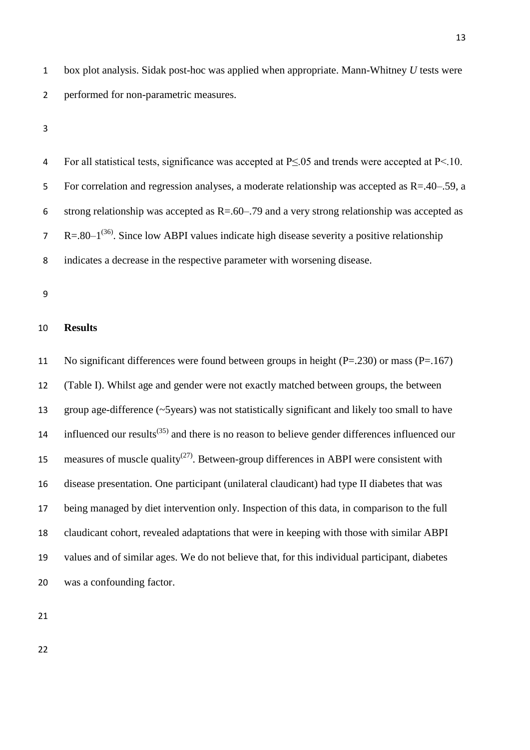box plot analysis. Sidak post-hoc was applied when appropriate. Mann-Whitney *U* tests were performed for non-parametric measures.

 For all statistical tests, significance was accepted at P≤.05 and trends were accepted at P<.10. For correlation and regression analyses, a moderate relationship was accepted as R=.40–.59, a 6 strong relationship was accepted as  $R = 60 - 79$  and a very strong relationship was accepted as  $R = .80 - 1^{(36)}$ . Since low ABPI values indicate high disease severity a positive relationship indicates a decrease in the respective parameter with worsening disease.

## **Results**

 No significant differences were found between groups in height (P=.230) or mass (P=.167) (Table I). Whilst age and gender were not exactly matched between groups, the between group age-difference (~5years) was not statistically significant and likely too small to have 14 influenced our results<sup> $(35)$ </sup> and there is no reason to believe gender differences influenced our 15 measures of muscle quality<sup> $(27)$ </sup>. Between-group differences in ABPI were consistent with disease presentation. One participant (unilateral claudicant) had type II diabetes that was being managed by diet intervention only. Inspection of this data, in comparison to the full claudicant cohort, revealed adaptations that were in keeping with those with similar ABPI values and of similar ages. We do not believe that, for this individual participant, diabetes was a confounding factor.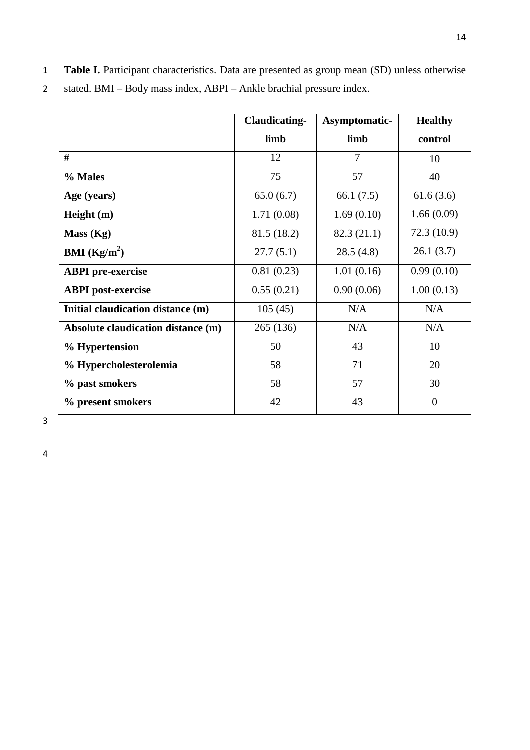1 **Table I.** Participant characteristics. Data are presented as group mean (SD) unless otherwise

|                                    | <b>Claudicating-</b> | Asymptomatic-  | <b>Healthy</b> |
|------------------------------------|----------------------|----------------|----------------|
|                                    | limb                 | limb           | control        |
| #                                  | 12                   | $\overline{7}$ | 10             |
| % Males                            | 75                   | 57             | 40             |
| Age (years)                        | 65.0(6.7)            | 66.1 $(7.5)$   | 61.6(3.6)      |
| Height $(m)$                       | 1.71(0.08)           | 1.69(0.10)     | 1.66(0.09)     |
| Mass (Kg)                          | 81.5 (18.2)          | 82.3 (21.1)    | 72.3 (10.9)    |
| <b>BMI</b> ( $\text{Kg/m}^2$ )     | 27.7(5.1)            | 28.5(4.8)      | 26.1(3.7)      |
| <b>ABPI</b> pre-exercise           | 0.81(0.23)           | 1.01(0.16)     | 0.99(0.10)     |
| <b>ABPI</b> post-exercise          | 0.55(0.21)           | 0.90(0.06)     | 1.00(0.13)     |
| Initial claudication distance (m)  | 105(45)              | N/A            | N/A            |
| Absolute claudication distance (m) | 265 (136)            | N/A            | N/A            |
| % Hypertension                     | 50                   | 43             | 10             |
| % Hypercholesterolemia             | 58                   | 71             | 20             |
| % past smokers                     | 58                   | 57             | 30             |
| % present smokers                  | 42                   | 43             | $\theta$       |

2 stated. BMI – Body mass index, ABPI – Ankle brachial pressure index.

3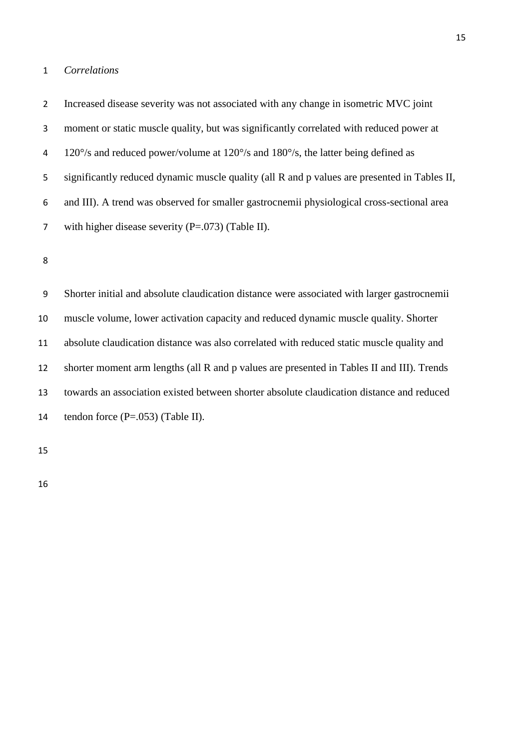#### *Correlations*

 Increased disease severity was not associated with any change in isometric MVC joint moment or static muscle quality, but was significantly correlated with reduced power at 120°/s and reduced power/volume at 120°/s and 180°/s, the latter being defined as significantly reduced dynamic muscle quality (all R and p values are presented in Tables II, and III). A trend was observed for smaller gastrocnemii physiological cross-sectional area

with higher disease severity (P=.073) (Table II).

 Shorter initial and absolute claudication distance were associated with larger gastrocnemii muscle volume, lower activation capacity and reduced dynamic muscle quality. Shorter absolute claudication distance was also correlated with reduced static muscle quality and shorter moment arm lengths (all R and p values are presented in Tables II and III). Trends towards an association existed between shorter absolute claudication distance and reduced 14 tendon force  $(P=.053)$  (Table II).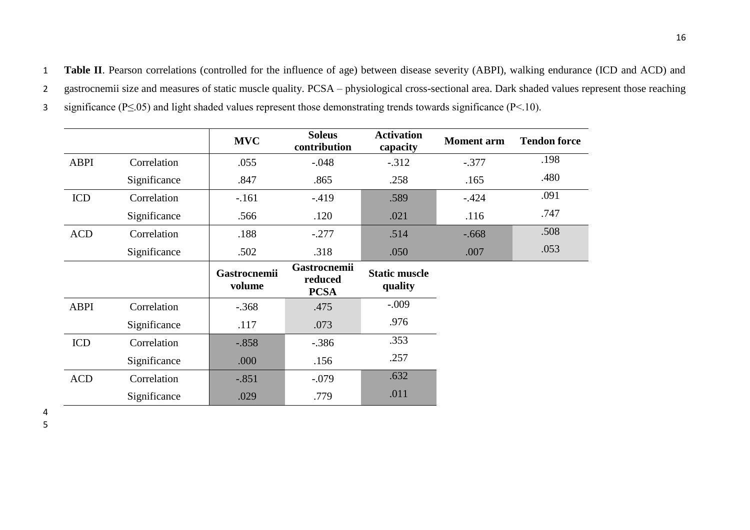3 significance (P≤.05) and light shaded values represent those demonstrating trends towards significance (P<.10).

|             |              | <b>MVC</b>                    | <b>Soleus</b><br>contribution                 | <b>Activation</b><br>capacity   | <b>Moment</b> arm | <b>Tendon force</b> |
|-------------|--------------|-------------------------------|-----------------------------------------------|---------------------------------|-------------------|---------------------|
| <b>ABPI</b> | Correlation  | .055                          | $-.048$                                       | $-.312$                         | $-.377$           | .198                |
|             | Significance | .847                          | .865                                          | .258                            | .165              | .480                |
| ICD         | Correlation  | $-.161$                       | $-.419$                                       | .589                            | $-.424$           | .091                |
|             | Significance | .566                          | .120                                          | .021                            | .116              | .747                |
| <b>ACD</b>  | Correlation  | .188                          | $-.277$                                       | .514                            | $-0.668$          | .508                |
|             | Significance | .502                          | .318                                          | .050                            | .007              | .053                |
|             |              | <b>Gastrocnemii</b><br>volume | <b>Gastrocnemii</b><br>reduced<br><b>PCSA</b> | <b>Static muscle</b><br>quality |                   |                     |
| <b>ABPI</b> | Correlation  | $-.368$                       | .475                                          | $-.009$                         |                   |                     |
|             | Significance | .117                          | .073                                          | .976                            |                   |                     |
| <b>ICD</b>  | Correlation  | $-.858$                       | $-.386$                                       | .353                            |                   |                     |
|             | Significance | .000                          | .156                                          | .257                            |                   |                     |
| <b>ACD</b>  | Correlation  | $-.851$                       | $-.079$                                       | .632                            |                   |                     |
|             | Significance | .029                          | .779                                          | .011                            |                   |                     |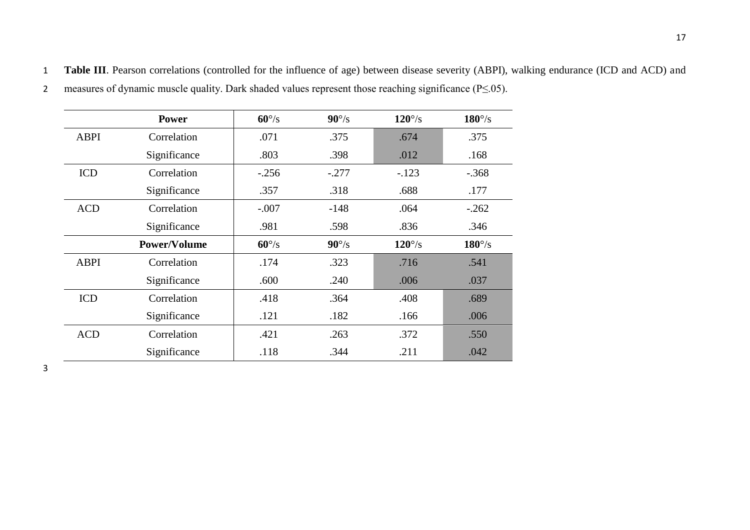|             | <b>Power</b>        | $60^{\circ}/s$ | $90^{\circ}/s$ | $120^{\circ}/\mathrm{s}$ | $180^{\circ}/\mathrm{s}$ |
|-------------|---------------------|----------------|----------------|--------------------------|--------------------------|
| <b>ABPI</b> | Correlation         | .071           | .375           | .674                     | .375                     |
|             | Significance        | .803           | .398           | .012                     | .168                     |
| <b>ICD</b>  | Correlation         | $-.256$        | $-.277$        | $-.123$                  | $-.368$                  |
|             | Significance        | .357           | .318           | .688                     | .177                     |
| <b>ACD</b>  | Correlation         | $-.007$        | $-148$         | .064                     | $-.262$                  |
|             | Significance        | .981           | .598           | .836                     | .346                     |
|             | <b>Power/Volume</b> | $60^{\circ}/s$ | $90^{\circ}/s$ | $120^{\circ}/\mathrm{s}$ | $180^{\circ}/\mathrm{s}$ |
| <b>ABPI</b> | Correlation         | .174           | .323           | .716                     | .541                     |
|             | Significance        | .600           | .240           | .006                     | .037                     |
| <b>ICD</b>  | Correlation         | .418           | .364           | .408                     | .689                     |
|             | Significance        | .121           | .182           | .166                     | .006                     |
| <b>ACD</b>  | Correlation         | .421           | .263           | .372                     | .550                     |

Significance 1.118 .344 .211 .042

1 **Table III**. Pearson correlations (controlled for the influence of age) between disease severity (ABPI), walking endurance (ICD and ACD) and 2 measures of dynamic muscle quality. Dark shaded values represent those reaching significance (P≤.05).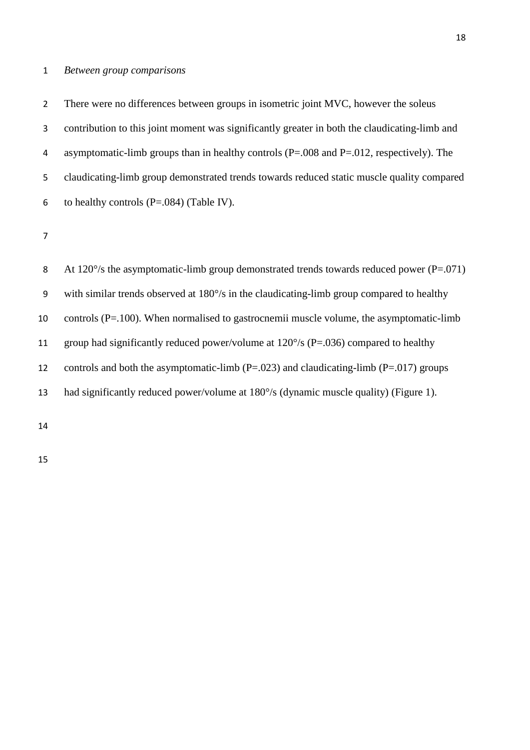# *Between group comparisons*

 There were no differences between groups in isometric joint MVC, however the soleus contribution to this joint moment was significantly greater in both the claudicating-limb and asymptomatic-limb groups than in healthy controls (P=.008 and P=.012, respectively). The claudicating-limb group demonstrated trends towards reduced static muscle quality compared 6 to healthy controls  $(P=.084)$  (Table IV).

| 8  | At 120 $\degree$ /s the asymptomatic-limb group demonstrated trends towards reduced power (P=.071) |
|----|----------------------------------------------------------------------------------------------------|
| 9  | with similar trends observed at $180^{\circ}/s$ in the claudicating-limb group compared to healthy |
| 10 | controls $(P=100)$ . When normalised to gastrocnemii muscle volume, the asymptomatic-limb          |
| 11 | group had significantly reduced power/volume at $120^{\circ}/s$ (P=.036) compared to healthy       |
| 12 | controls and both the asymptomatic-limb ( $P=.023$ ) and claudicating-limb ( $P=.017$ ) groups     |
| 13 | had significantly reduced power/volume at 180°/s (dynamic muscle quality) (Figure 1).              |
|    |                                                                                                    |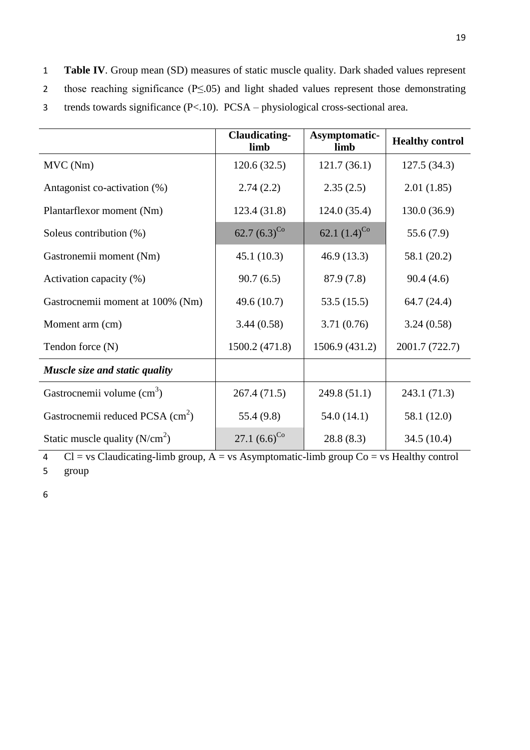|                                              | <b>Claudicating-</b><br>limb | Asymptomatic-<br>limb | <b>Healthy control</b> |
|----------------------------------------------|------------------------------|-----------------------|------------------------|
| MVC (Nm)                                     | 120.6(32.5)                  | 121.7(36.1)           | 127.5 (34.3)           |
| Antagonist co-activation (%)                 | 2.74(2.2)                    | 2.35(2.5)             | 2.01(1.85)             |
| Plantarflexor moment (Nm)                    | 123.4 (31.8)                 | 124.0(35.4)           | 130.0(36.9)            |
| Soleus contribution $(\%)$                   | $62.7 (6.3)^{Co}$            | 62.1 $(1.4)^{C_0}$    | 55.6(7.9)              |
| Gastronemii moment (Nm)                      | 45.1(10.3)                   | 46.9(13.3)            | 58.1 (20.2)            |
| Activation capacity (%)                      | 90.7(6.5)                    | 87.9 (7.8)            | 90.4(4.6)              |
| Gastrocnemii moment at 100% (Nm)             | 49.6 (10.7)                  | 53.5(15.5)            | 64.7 (24.4)            |
| Moment arm (cm)                              | 3.44(0.58)                   | 3.71(0.76)            | 3.24(0.58)             |
| Tendon force (N)                             | 1500.2 (471.8)               | 1506.9 (431.2)        | 2001.7 (722.7)         |
| Muscle size and static quality               |                              |                       |                        |
| Gastrocnemii volume $\text{cm}^3$ )          | 267.4 (71.5)                 | 249.8 (51.1)          | 243.1 (71.3)           |
| Gastrocnemii reduced PCSA (cm <sup>2</sup> ) | 55.4 (9.8)                   | 54.0(14.1)            | 58.1 (12.0)            |
| Static muscle quality $(N/cm2)$              | 27.1 $(6.6)^{\text{Co}}$     | 28.8(8.3)             | 34.5 (10.4)            |

 $\overline{C}$  Cl = vs Claudicating-limb group,  $\overline{A}$  = vs Asymptomatic-limb group  $\overline{C}$  o = vs Healthy control 5 group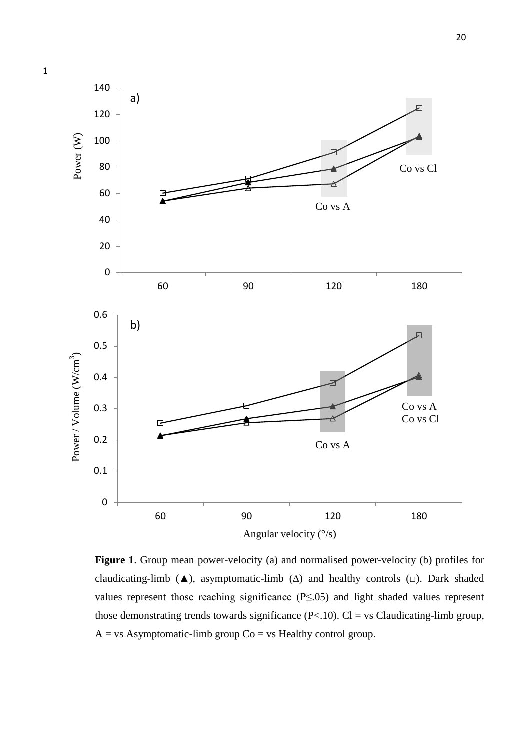

**Figure 1**. Group mean power-velocity (a) and normalised power-velocity (b) profiles for claudicating-limb ( $\blacktriangle$ ), asymptomatic-limb ( $\triangle$ ) and healthy controls ( $\Box$ ). Dark shaded values represent those reaching significance (P≤.05) and light shaded values represent those demonstrating trends towards significance  $(P<.10)$ . Cl = vs Claudicating-limb group,  $A = vs$  Asymptomatic-limb group  $Co = vs$  Healthy control group.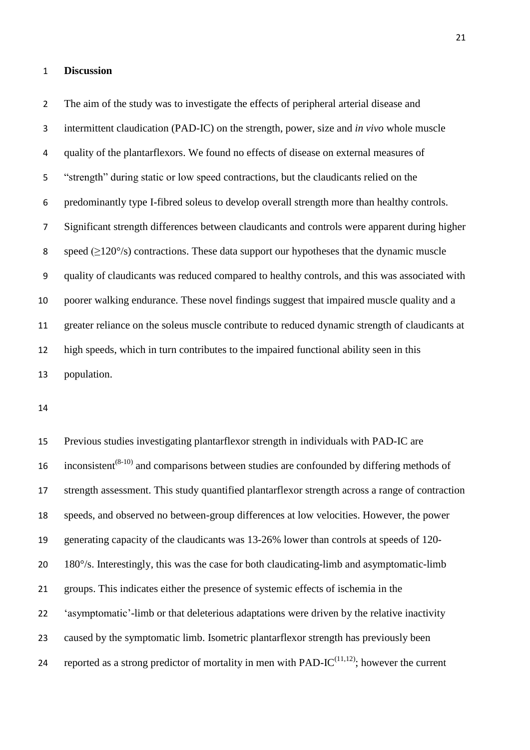#### **Discussion**

 The aim of the study was to investigate the effects of peripheral arterial disease and intermittent claudication (PAD-IC) on the strength, power, size and *in vivo* whole muscle quality of the plantarflexors. We found no effects of disease on external measures of "strength" during static or low speed contractions, but the claudicants relied on the predominantly type I-fibred soleus to develop overall strength more than healthy controls. Significant strength differences between claudicants and controls were apparent during higher 8 speed  $(\geq 120^{\circ}/s)$  contractions. These data support our hypotheses that the dynamic muscle quality of claudicants was reduced compared to healthy controls, and this was associated with poorer walking endurance. These novel findings suggest that impaired muscle quality and a greater reliance on the soleus muscle contribute to reduced dynamic strength of claudicants at high speeds, which in turn contributes to the impaired functional ability seen in this population.

 Previous studies investigating plantarflexor strength in individuals with PAD-IC are 16 inconsistent<sup> $(8-10)$ </sup> and comparisons between studies are confounded by differing methods of strength assessment. This study quantified plantarflexor strength across a range of contraction speeds, and observed no between-group differences at low velocities. However, the power generating capacity of the claudicants was 13-26% lower than controls at speeds of 120- 180°/s. Interestingly, this was the case for both claudicating-limb and asymptomatic-limb groups. This indicates either the presence of systemic effects of ischemia in the 'asymptomatic'-limb or that deleterious adaptations were driven by the relative inactivity caused by the symptomatic limb. Isometric plantarflexor strength has previously been 24 reported as a strong predictor of mortality in men with PAD-I $C^{(11,12)}$ ; however the current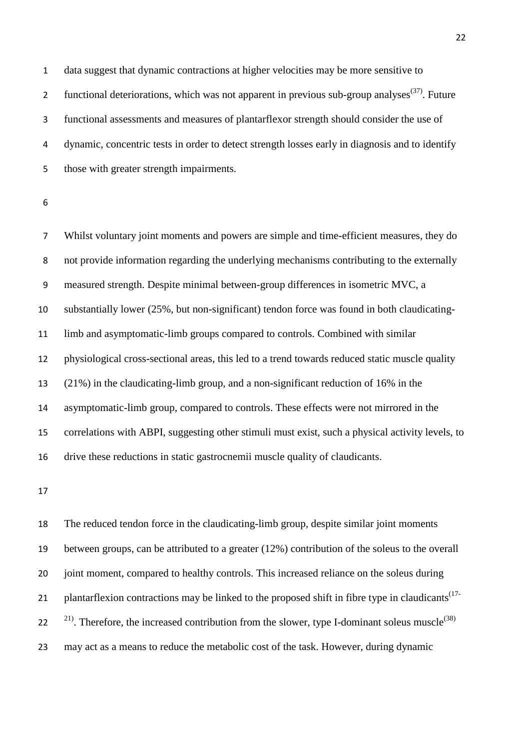data suggest that dynamic contractions at higher velocities may be more sensitive to 2 functional deteriorations, which was not apparent in previous sub-group analyses<sup>(37)</sup>. Future functional assessments and measures of plantarflexor strength should consider the use of dynamic, concentric tests in order to detect strength losses early in diagnosis and to identify those with greater strength impairments.

 Whilst voluntary joint moments and powers are simple and time-efficient measures, they do not provide information regarding the underlying mechanisms contributing to the externally measured strength. Despite minimal between-group differences in isometric MVC, a substantially lower (25%, but non-significant) tendon force was found in both claudicating- limb and asymptomatic-limb groups compared to controls. Combined with similar physiological cross-sectional areas, this led to a trend towards reduced static muscle quality (21%) in the claudicating-limb group, and a non-significant reduction of 16% in the asymptomatic-limb group, compared to controls. These effects were not mirrored in the correlations with ABPI, suggesting other stimuli must exist, such a physical activity levels, to drive these reductions in static gastrocnemii muscle quality of claudicants.

 The reduced tendon force in the claudicating-limb group, despite similar joint moments between groups, can be attributed to a greater (12%) contribution of the soleus to the overall joint moment, compared to healthy controls. This increased reliance on the soleus during plantarflexion contractions may be linked to the proposed shift in fibre type in claudicants<sup>(17-</sup> <sup>21)</sup>. Therefore, the increased contribution from the slower, type I-dominant soleus muscle<sup>(38)</sup> may act as a means to reduce the metabolic cost of the task. However, during dynamic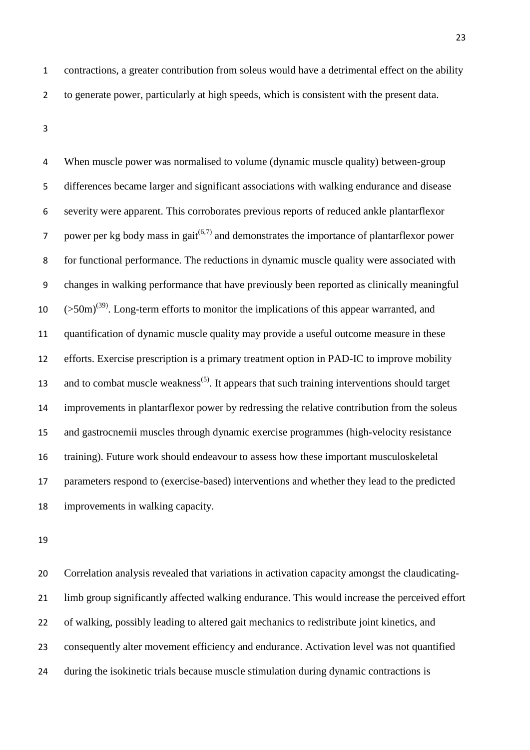When muscle power was normalised to volume (dynamic muscle quality) between-group differences became larger and significant associations with walking endurance and disease severity were apparent. This corroborates previous reports of reduced ankle plantarflexor 7 power per kg body mass in gait<sup> $(6,7)$ </sup> and demonstrates the importance of plantarflexor power for functional performance. The reductions in dynamic muscle quality were associated with changes in walking performance that have previously been reported as clinically meaningful  $(50 \text{m})^{(39)}$ . Long-term efforts to monitor the implications of this appear warranted, and quantification of dynamic muscle quality may provide a useful outcome measure in these efforts. Exercise prescription is a primary treatment option in PAD-IC to improve mobility 13 and to combat muscle weakness<sup>(5)</sup>. It appears that such training interventions should target improvements in plantarflexor power by redressing the relative contribution from the soleus and gastrocnemii muscles through dynamic exercise programmes (high-velocity resistance training). Future work should endeavour to assess how these important musculoskeletal parameters respond to (exercise-based) interventions and whether they lead to the predicted improvements in walking capacity.

 Correlation analysis revealed that variations in activation capacity amongst the claudicating- limb group significantly affected walking endurance. This would increase the perceived effort of walking, possibly leading to altered gait mechanics to redistribute joint kinetics, and consequently alter movement efficiency and endurance. Activation level was not quantified during the isokinetic trials because muscle stimulation during dynamic contractions is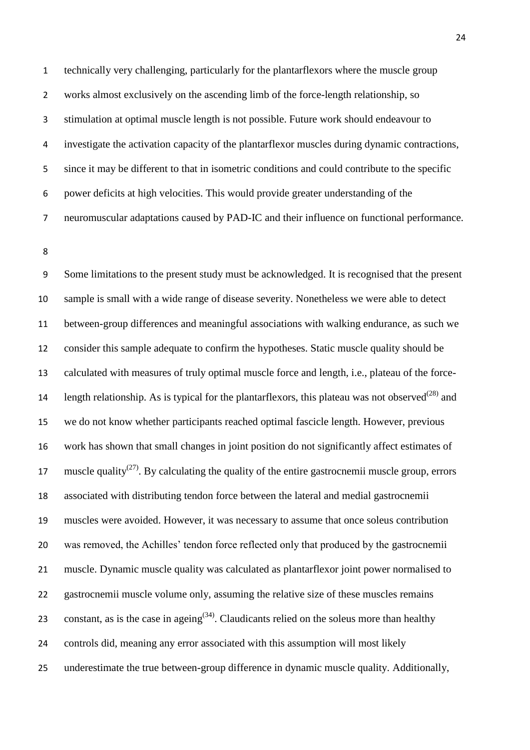technically very challenging, particularly for the plantarflexors where the muscle group works almost exclusively on the ascending limb of the force-length relationship, so stimulation at optimal muscle length is not possible. Future work should endeavour to investigate the activation capacity of the plantarflexor muscles during dynamic contractions, since it may be different to that in isometric conditions and could contribute to the specific power deficits at high velocities. This would provide greater understanding of the neuromuscular adaptations caused by PAD-IC and their influence on functional performance.

 Some limitations to the present study must be acknowledged. It is recognised that the present sample is small with a wide range of disease severity. Nonetheless we were able to detect between-group differences and meaningful associations with walking endurance, as such we consider this sample adequate to confirm the hypotheses. Static muscle quality should be calculated with measures of truly optimal muscle force and length, i.e., plateau of the force-14 length relationship. As is typical for the plantarflexors, this plateau was not observed<sup>(28)</sup> and we do not know whether participants reached optimal fascicle length. However, previous work has shown that small changes in joint position do not significantly affect estimates of 17 muscle quality<sup>(27)</sup>. By calculating the quality of the entire gastrocnemii muscle group, errors associated with distributing tendon force between the lateral and medial gastrocnemii muscles were avoided. However, it was necessary to assume that once soleus contribution was removed, the Achilles' tendon force reflected only that produced by the gastrocnemii muscle. Dynamic muscle quality was calculated as plantarflexor joint power normalised to gastrocnemii muscle volume only, assuming the relative size of these muscles remains constant, as is the case in ageing<sup>(34)</sup>. Claudicants relied on the soleus more than healthy controls did, meaning any error associated with this assumption will most likely underestimate the true between-group difference in dynamic muscle quality. Additionally,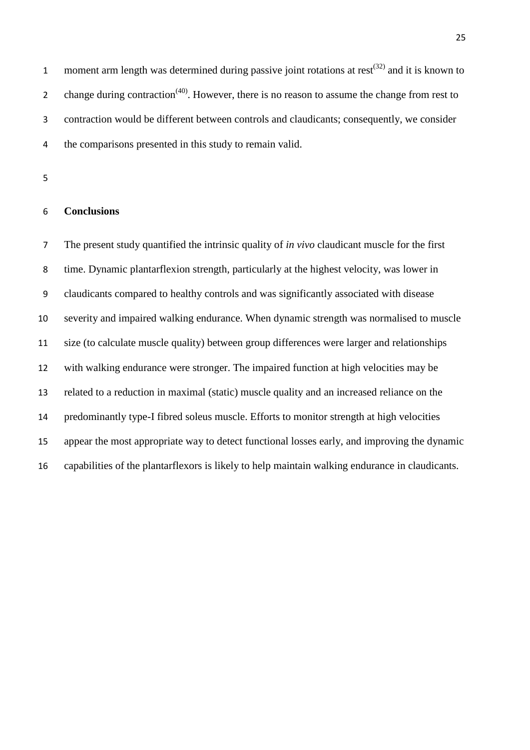1 moment arm length was determined during passive joint rotations at rest<sup> $(32)$ </sup> and it is known to 2 change during contraction<sup> $(40)$ </sup>. However, there is no reason to assume the change from rest to contraction would be different between controls and claudicants; consequently, we consider the comparisons presented in this study to remain valid.

## **Conclusions**

 The present study quantified the intrinsic quality of *in vivo* claudicant muscle for the first time. Dynamic plantarflexion strength, particularly at the highest velocity, was lower in claudicants compared to healthy controls and was significantly associated with disease severity and impaired walking endurance. When dynamic strength was normalised to muscle size (to calculate muscle quality) between group differences were larger and relationships with walking endurance were stronger. The impaired function at high velocities may be related to a reduction in maximal (static) muscle quality and an increased reliance on the predominantly type-I fibred soleus muscle. Efforts to monitor strength at high velocities appear the most appropriate way to detect functional losses early, and improving the dynamic capabilities of the plantarflexors is likely to help maintain walking endurance in claudicants.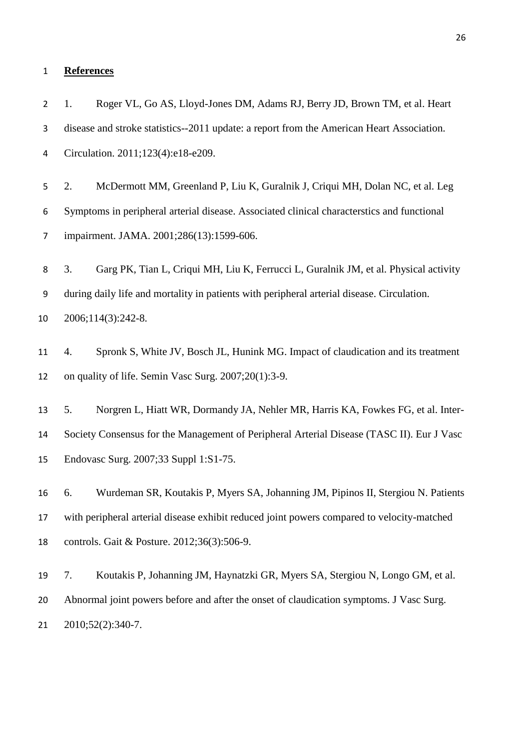#### **References**

 1. Roger VL, Go AS, Lloyd-Jones DM, Adams RJ, Berry JD, Brown TM, et al. Heart disease and stroke statistics--2011 update: a report from the American Heart Association. Circulation. 2011;123(4):e18-e209. 2. McDermott MM, Greenland P, Liu K, Guralnik J, Criqui MH, Dolan NC, et al. Leg Symptoms in peripheral arterial disease. Associated clinical characterstics and functional impairment. JAMA. 2001;286(13):1599-606. 3. Garg PK, Tian L, Criqui MH, Liu K, Ferrucci L, Guralnik JM, et al. Physical activity during daily life and mortality in patients with peripheral arterial disease. Circulation. 2006;114(3):242-8. 4. Spronk S, White JV, Bosch JL, Hunink MG. Impact of claudication and its treatment on quality of life. Semin Vasc Surg. 2007;20(1):3-9. 5. Norgren L, Hiatt WR, Dormandy JA, Nehler MR, Harris KA, Fowkes FG, et al. Inter- Society Consensus for the Management of Peripheral Arterial Disease (TASC II). Eur J Vasc Endovasc Surg. 2007;33 Suppl 1:S1-75. 6. Wurdeman SR, Koutakis P, Myers SA, Johanning JM, Pipinos II, Stergiou N. Patients with peripheral arterial disease exhibit reduced joint powers compared to velocity-matched controls. Gait & Posture. 2012;36(3):506-9. 7. Koutakis P, Johanning JM, Haynatzki GR, Myers SA, Stergiou N, Longo GM, et al. Abnormal joint powers before and after the onset of claudication symptoms. J Vasc Surg.

2010;52(2):340-7.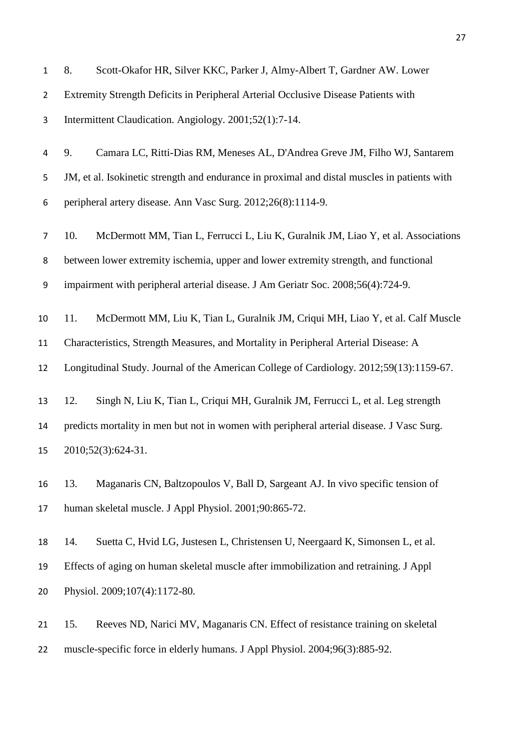| $\mathbf{1}$   | 8.  | Scott-Okafor HR, Silver KKC, Parker J, Almy-Albert T, Gardner AW. Lower                      |
|----------------|-----|----------------------------------------------------------------------------------------------|
| $\overline{2}$ |     | Extremity Strength Deficits in Peripheral Arterial Occlusive Disease Patients with           |
| 3              |     | Intermittent Claudication. Angiology. 2001;52(1):7-14.                                       |
| 4              | 9.  | Camara LC, Ritti-Dias RM, Meneses AL, D'Andrea Greve JM, Filho WJ, Santarem                  |
| 5              |     | JM, et al. Isokinetic strength and endurance in proximal and distal muscles in patients with |
| 6              |     | peripheral artery disease. Ann Vasc Surg. 2012;26(8):1114-9.                                 |
| $\overline{7}$ | 10. | McDermott MM, Tian L, Ferrucci L, Liu K, Guralnik JM, Liao Y, et al. Associations            |
| 8              |     | between lower extremity ischemia, upper and lower extremity strength, and functional         |
| 9              |     | impairment with peripheral arterial disease. J Am Geriatr Soc. 2008;56(4):724-9.             |
| 10             | 11. | McDermott MM, Liu K, Tian L, Guralnik JM, Criqui MH, Liao Y, et al. Calf Muscle              |
| 11             |     | Characteristics, Strength Measures, and Mortality in Peripheral Arterial Disease: A          |
| 12             |     | Longitudinal Study. Journal of the American College of Cardiology. 2012;59(13):1159-67.      |
| 13             | 12. | Singh N, Liu K, Tian L, Criqui MH, Guralnik JM, Ferrucci L, et al. Leg strength              |
| 14             |     | predicts mortality in men but not in women with peripheral arterial disease. J Vasc Surg.    |
| 15             |     | 2010;52(3):624-31.                                                                           |
| 16             | 13. | Maganaris CN, Baltzopoulos V, Ball D, Sargeant AJ. In vivo specific tension of               |
| 17             |     | human skeletal muscle. J Appl Physiol. 2001;90:865-72.                                       |
| 18             | 14. | Suetta C, Hvid LG, Justesen L, Christensen U, Neergaard K, Simonsen L, et al.                |
| 19             |     | Effects of aging on human skeletal muscle after immobilization and retraining. J Appl        |
| 20             |     | Physiol. 2009;107(4):1172-80.                                                                |
| 21             | 15. | Reeves ND, Narici MV, Maganaris CN. Effect of resistance training on skeletal                |

muscle-specific force in elderly humans. J Appl Physiol. 2004;96(3):885-92.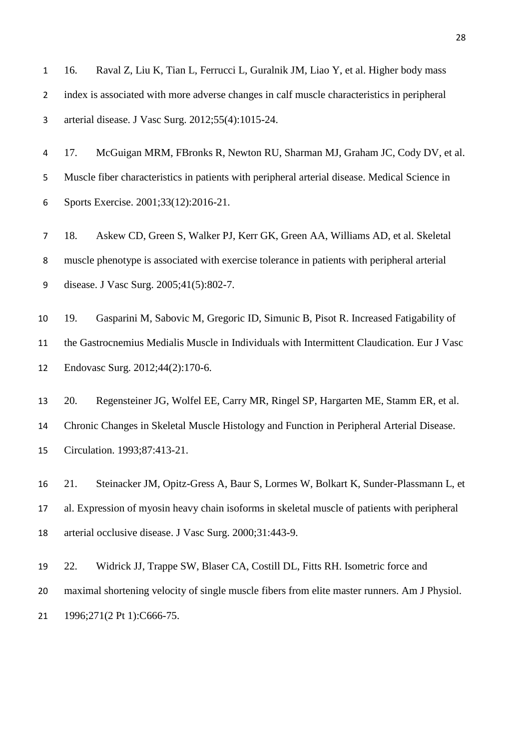16. Raval Z, Liu K, Tian L, Ferrucci L, Guralnik JM, Liao Y, et al. Higher body mass index is associated with more adverse changes in calf muscle characteristics in peripheral arterial disease. J Vasc Surg. 2012;55(4):1015-24.

 17. McGuigan MRM, FBronks R, Newton RU, Sharman MJ, Graham JC, Cody DV, et al. Muscle fiber characteristics in patients with peripheral arterial disease. Medical Science in Sports Exercise. 2001;33(12):2016-21.

 18. Askew CD, Green S, Walker PJ, Kerr GK, Green AA, Williams AD, et al. Skeletal muscle phenotype is associated with exercise tolerance in patients with peripheral arterial disease. J Vasc Surg. 2005;41(5):802-7.

 19. Gasparini M, Sabovic M, Gregoric ID, Simunic B, Pisot R. Increased Fatigability of the Gastrocnemius Medialis Muscle in Individuals with Intermittent Claudication. Eur J Vasc Endovasc Surg. 2012;44(2):170-6.

 20. Regensteiner JG, Wolfel EE, Carry MR, Ringel SP, Hargarten ME, Stamm ER, et al. Chronic Changes in Skeletal Muscle Histology and Function in Peripheral Arterial Disease. Circulation. 1993;87:413-21.

 21. Steinacker JM, Opitz-Gress A, Baur S, Lormes W, Bolkart K, Sunder-Plassmann L, et al. Expression of myosin heavy chain isoforms in skeletal muscle of patients with peripheral arterial occlusive disease. J Vasc Surg. 2000;31:443-9.

 22. Widrick JJ, Trappe SW, Blaser CA, Costill DL, Fitts RH. Isometric force and maximal shortening velocity of single muscle fibers from elite master runners. Am J Physiol. 21 1996;271(2 Pt 1):C666-75.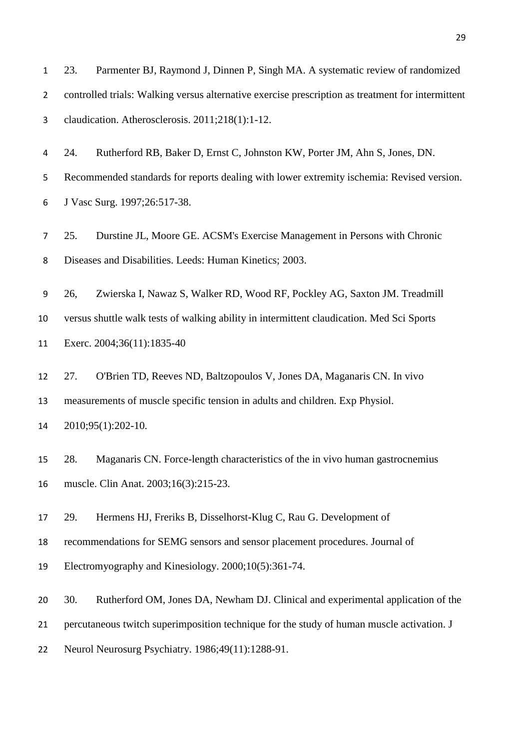| $\mathbf{1}$   | 23.                                                                                       | Parmenter BJ, Raymond J, Dinnen P, Singh MA. A systematic review of randomized                    |  |  |
|----------------|-------------------------------------------------------------------------------------------|---------------------------------------------------------------------------------------------------|--|--|
| $\overline{2}$ |                                                                                           | controlled trials: Walking versus alternative exercise prescription as treatment for intermittent |  |  |
| 3              |                                                                                           | claudication. Atherosclerosis. 2011;218(1):1-12.                                                  |  |  |
| 4              | 24.                                                                                       | Rutherford RB, Baker D, Ernst C, Johnston KW, Porter JM, Ahn S, Jones, DN.                        |  |  |
| 5              |                                                                                           | Recommended standards for reports dealing with lower extremity ischemia: Revised version.         |  |  |
| 6              |                                                                                           | J Vasc Surg. 1997;26:517-38.                                                                      |  |  |
| 7              | 25.                                                                                       | Durstine JL, Moore GE. ACSM's Exercise Management in Persons with Chronic                         |  |  |
| 8              |                                                                                           | Diseases and Disabilities. Leeds: Human Kinetics; 2003.                                           |  |  |
| 9              | 26,                                                                                       | Zwierska I, Nawaz S, Walker RD, Wood RF, Pockley AG, Saxton JM. Treadmill                         |  |  |
| 10             |                                                                                           | versus shuttle walk tests of walking ability in intermittent claudication. Med Sci Sports         |  |  |
| 11             |                                                                                           | Exerc. 2004;36(11):1835-40                                                                        |  |  |
| 12             | 27.                                                                                       | O'Brien TD, Reeves ND, Baltzopoulos V, Jones DA, Maganaris CN. In vivo                            |  |  |
| 13             |                                                                                           | measurements of muscle specific tension in adults and children. Exp Physiol.                      |  |  |
| 14             |                                                                                           | 2010;95(1):202-10.                                                                                |  |  |
| 15             | 28.                                                                                       | Maganaris CN. Force-length characteristics of the in vivo human gastrocnemius                     |  |  |
| 16             |                                                                                           | muscle. Clin Anat. 2003;16(3):215-23.                                                             |  |  |
| 17             | 29.                                                                                       | Hermens HJ, Freriks B, Disselhorst-Klug C, Rau G. Development of                                  |  |  |
| 18             |                                                                                           | recommendations for SEMG sensors and sensor placement procedures. Journal of                      |  |  |
| 19             |                                                                                           | Electromyography and Kinesiology. 2000;10(5):361-74.                                              |  |  |
| 20             | 30.                                                                                       | Rutherford OM, Jones DA, Newham DJ. Clinical and experimental application of the                  |  |  |
| 21             | percutaneous twitch superimposition technique for the study of human muscle activation. J |                                                                                                   |  |  |
| 22             |                                                                                           | Neurol Neurosurg Psychiatry. 1986;49(11):1288-91.                                                 |  |  |